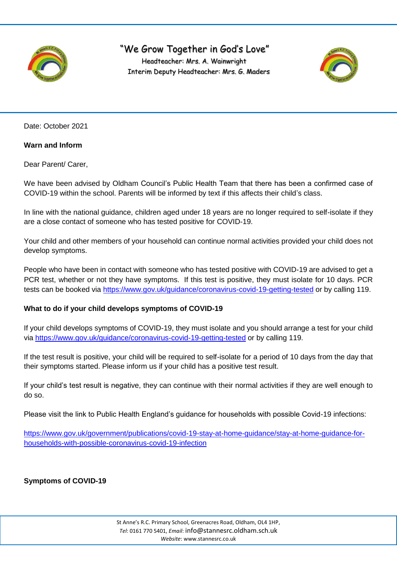

## "We Grow Together in God's Love" Headteacher: Mrs. A. Wainwright Interim Deputy Headteacher: Mrs. G. Maders



Date: October 2021

## **Warn and Inform**

Dear Parent/ Carer,

We have been advised by Oldham Council's Public Health Team that there has been a confirmed case of COVID-19 within the school. Parents will be informed by text if this affects their child's class.

In line with the national guidance, children aged under 18 years are no longer required to self-isolate if they are a close contact of someone who has tested positive for COVID-19.

Your child and other members of your household can continue normal activities provided your child does not develop symptoms.

People who have been in contact with someone who has tested positive with COVID-19 are advised to get a PCR test, whether or not they have symptoms. If this test is positive, they must isolate for 10 days. PCR tests can be booked via<https://www.gov.uk/guidance/coronavirus-covid-19-getting-tested> or by calling 119.

### **What to do if your child develops symptoms of COVID-19**

If your child develops symptoms of COVID-19, they must isolate and you should arrange a test for your child via<https://www.gov.uk/guidance/coronavirus-covid-19-getting-tested> or by calling 119.

If the test result is positive, your child will be required to self-isolate for a period of 10 days from the day that their symptoms started. Please inform us if your child has a positive test result.

If your child's test result is negative, they can continue with their normal activities if they are well enough to do so.

Please visit the link to Public Health England's guidance for households with possible Covid-19 infections:

[https://www.gov.uk/government/publications/covid-19-stay-at-home-guidance/stay-at-home-guidance-for](https://www.gov.uk/government/publications/covid-19-stay-at-home-guidance/stay-at-home-guidance-for-households-with-possible-coronavirus-covid-19-infection)[households-with-possible-coronavirus-covid-19-infection](https://www.gov.uk/government/publications/covid-19-stay-at-home-guidance/stay-at-home-guidance-for-households-with-possible-coronavirus-covid-19-infection)

**Symptoms of COVID-19**